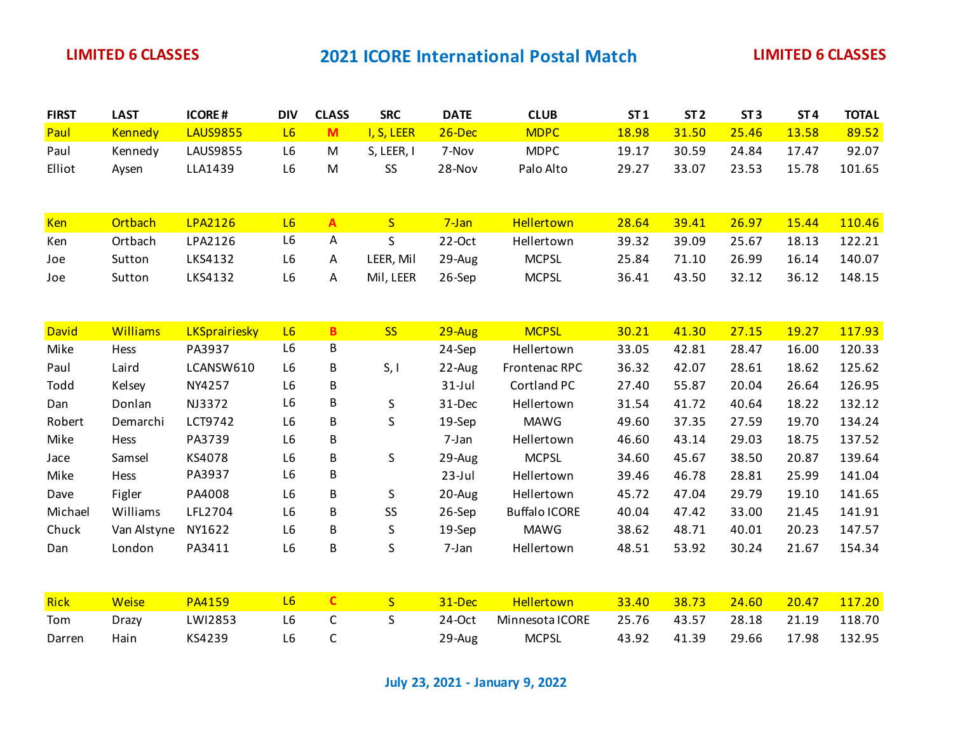| <b>FIRST</b> | <b>LAST</b>     | <b>ICORE#</b>        | <b>DIV</b>     | <b>CLASS</b> | <b>SRC</b>   | <b>DATE</b> | <b>CLUB</b>          | ST1   | ST <sub>2</sub> | ST <sub>3</sub> | ST <sub>4</sub> | <b>TOTAL</b> |
|--------------|-----------------|----------------------|----------------|--------------|--------------|-------------|----------------------|-------|-----------------|-----------------|-----------------|--------------|
| Paul         | <b>Kennedy</b>  | <b>LAUS9855</b>      | L6             | M            | I, S, LEER   | $26$ -Dec   | <b>MDPC</b>          | 18.98 | 31.50           | 25.46           | 13.58           | 89.52        |
| Paul         | Kennedy         | <b>LAUS9855</b>      | L6             | ${\sf M}$    | S, LEER, I   | 7-Nov       | <b>MDPC</b>          | 19.17 | 30.59           | 24.84           | 17.47           | 92.07        |
| Elliot       | Aysen           | LLA1439              | L6             | M            | SS           | 28-Nov      | Palo Alto            | 29.27 | 33.07           | 23.53           | 15.78           | 101.65       |
|              |                 |                      |                |              |              |             |                      |       |                 |                 |                 |              |
|              |                 |                      |                |              |              |             |                      |       |                 |                 |                 |              |
| Ken          | Ortbach         | <b>LPA2126</b>       | L6             | $\mathbf{A}$ | S            | $7-Jan$     | Hellertown           | 28.64 | 39.41           | 26.97           | 15.44           | 110.46       |
| Ken          | Ortbach         | LPA2126              | L6             | Α            | $\mathsf{S}$ | $22-Oct$    | Hellertown           | 39.32 | 39.09           | 25.67           | 18.13           | 122.21       |
| Joe          | Sutton          | LKS4132              | L6             | A            | LEER, Mil    | 29-Aug      | <b>MCPSL</b>         | 25.84 | 71.10           | 26.99           | 16.14           | 140.07       |
| Joe          | Sutton          | LKS4132              | L6             | А            | Mil, LEER    | 26-Sep      | <b>MCPSL</b>         | 36.41 | 43.50           | 32.12           | 36.12           | 148.15       |
|              |                 |                      |                |              |              |             |                      |       |                 |                 |                 |              |
| David        | <b>Williams</b> | <b>LKSprairiesky</b> | L6             | $\mathbf{B}$ | <b>SS</b>    | $29 - Aug$  | <b>MCPSL</b>         | 30.21 | 41.30           | 27.15           | 19.27           | 117.93       |
| Mike         | Hess            | PA3937               | L6             | B            |              | 24-Sep      | Hellertown           | 33.05 | 42.81           | 28.47           | 16.00           | 120.33       |
| Paul         | Laird           | LCANSW610            | L <sub>6</sub> | B            | S, I         | 22-Aug      | Frontenac RPC        | 36.32 | 42.07           | 28.61           | 18.62           | 125.62       |
| Todd         | Kelsey          | NY4257               | L6             | B            |              | $31$ -Jul   | Cortland PC          | 27.40 | 55.87           | 20.04           | 26.64           | 126.95       |
| Dan          | Donlan          | NJ3372               | L6             | B            | S            | 31-Dec      | Hellertown           | 31.54 | 41.72           | 40.64           | 18.22           | 132.12       |
| Robert       | Demarchi        | LCT9742              | L6             | B            | S            | 19-Sep      | <b>MAWG</b>          | 49.60 | 37.35           | 27.59           | 19.70           | 134.24       |
| Mike         | Hess            | PA3739               | L6             | B            |              | 7-Jan       | Hellertown           | 46.60 | 43.14           | 29.03           | 18.75           | 137.52       |
| Jace         | Samsel          | KS4078               | L6             | B            | S            | 29-Aug      | <b>MCPSL</b>         | 34.60 | 45.67           | 38.50           | 20.87           | 139.64       |
| Mike         | Hess            | PA3937               | L6             | В            |              | $23$ -Jul   | Hellertown           | 39.46 | 46.78           | 28.81           | 25.99           | 141.04       |
| Dave         | Figler          | PA4008               | L6             | В            | S            | 20-Aug      | Hellertown           | 45.72 | 47.04           | 29.79           | 19.10           | 141.65       |
| Michael      | Williams        | LFL2704              | L6             | В            | SS           | 26-Sep      | <b>Buffalo ICORE</b> | 40.04 | 47.42           | 33.00           | 21.45           | 141.91       |
| Chuck        | Van Alstyne     | NY1622               | L6             | В            | S            | 19-Sep      | <b>MAWG</b>          | 38.62 | 48.71           | 40.01           | 20.23           | 147.57       |
| Dan          | London          | PA3411               | L6             | В            | S            | 7-Jan       | Hellertown           | 48.51 | 53.92           | 30.24           | 21.67           | 154.34       |
|              |                 |                      |                |              |              |             |                      |       |                 |                 |                 |              |
| Rick         | Weise           | <b>PA4159</b>        | L6             | $\mathbf{C}$ | S            | 31-Dec      | Hellertown           | 33.40 | 38.73           | 24.60           | 20.47           | 117.20       |
| Tom          | Drazy           | LWI2853              | L <sub>6</sub> | $\mathsf{C}$ | S            | 24-Oct      | Minnesota ICORE      | 25.76 | 43.57           | 28.18           | 21.19           | 118.70       |
| Darren       | Hain            | KS4239               | L6             | $\mathsf{C}$ |              | 29-Aug      | <b>MCPSL</b>         | 43.92 | 41.39           | 29.66           | 17.98           | 132.95       |

**July 23, 2021 - January 9, 2022**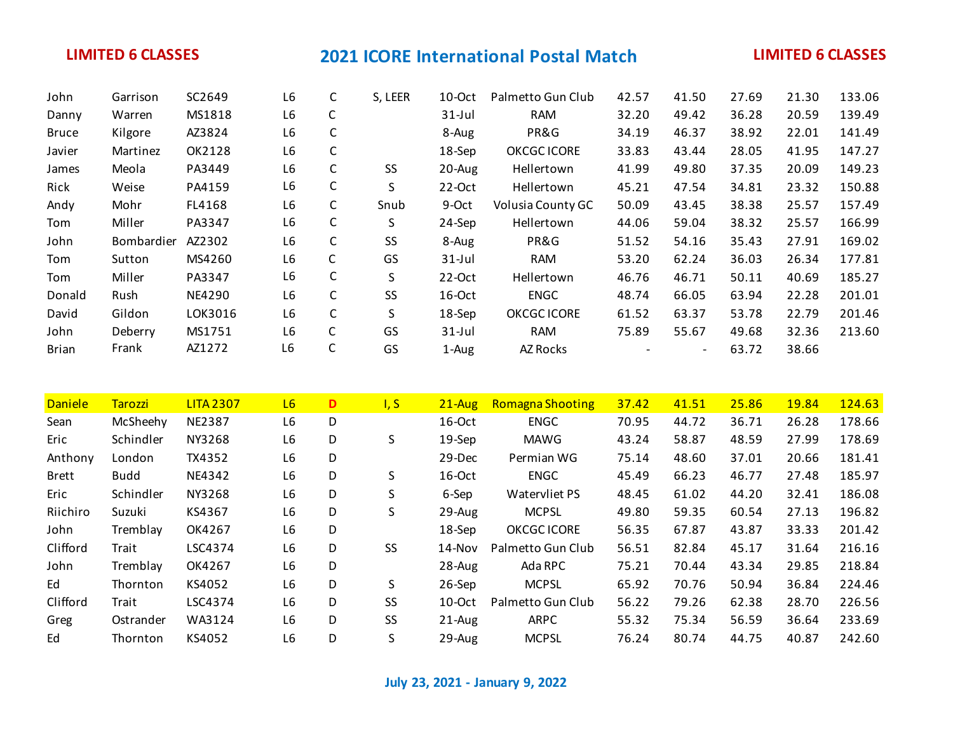| John         | Garrison          | SC2649  | L <sub>6</sub> | C | S, LEER | 10-Oct    | Palmetto Gun Club  | 42.57 | 41.50                    | 27.69 | 21.30 | 133.06 |
|--------------|-------------------|---------|----------------|---|---------|-----------|--------------------|-------|--------------------------|-------|-------|--------|
| Danny        | Warren            | MS1818  | L <sub>6</sub> | C |         | $31$ -Jul | <b>RAM</b>         | 32.20 | 49.42                    | 36.28 | 20.59 | 139.49 |
| <b>Bruce</b> | Kilgore           | AZ3824  | L <sub>6</sub> | C |         | 8-Aug     | PR&G               | 34.19 | 46.37                    | 38.92 | 22.01 | 141.49 |
| Javier       | Martinez          | OK2128  | L <sub>6</sub> | C |         | 18-Sep    | <b>OKCGC ICORE</b> | 33.83 | 43.44                    | 28.05 | 41.95 | 147.27 |
| James        | Meola             | PA3449  | L <sub>6</sub> | C | SS      | 20-Aug    | Hellertown         | 41.99 | 49.80                    | 37.35 | 20.09 | 149.23 |
| Rick         | Weise             | PA4159  | L6             | C | S       | 22-Oct    | Hellertown         | 45.21 | 47.54                    | 34.81 | 23.32 | 150.88 |
| Andy         | Mohr              | FL4168  | L <sub>6</sub> | C | Snub    | 9-Oct     | Volusia County GC  | 50.09 | 43.45                    | 38.38 | 25.57 | 157.49 |
| Tom          | Miller            | PA3347  | L6             | C | S.      | 24-Sep    | Hellertown         | 44.06 | 59.04                    | 38.32 | 25.57 | 166.99 |
| John         | <b>Bombardier</b> | AZ2302  | L <sub>6</sub> | C | SS      | 8-Aug     | PR&G               | 51.52 | 54.16                    | 35.43 | 27.91 | 169.02 |
| Tom          | Sutton            | MS4260  | L <sub>6</sub> | C | GS      | $31$ -Jul | <b>RAM</b>         | 53.20 | 62.24                    | 36.03 | 26.34 | 177.81 |
| Tom          | Miller            | PA3347  | L6             | C | S       | $22-Oct$  | Hellertown         | 46.76 | 46.71                    | 50.11 | 40.69 | 185.27 |
| Donald       | Rush              | NE4290  | L6             | C | SS      | 16-Oct    | <b>ENGC</b>        | 48.74 | 66.05                    | 63.94 | 22.28 | 201.01 |
| David        | Gildon            | LOK3016 | L6             | C | S       | 18-Sep    | <b>OKCGC ICORE</b> | 61.52 | 63.37                    | 53.78 | 22.79 | 201.46 |
| John         | Deberry           | MS1751  | L <sub>6</sub> | C | GS      | $31$ -Jul | <b>RAM</b>         | 75.89 | 55.67                    | 49.68 | 32.36 | 213.60 |
| <b>Brian</b> | Frank             | AZ1272  | L6             | C | GS      | 1-Aug     | AZ Rocks           |       | $\overline{\phantom{a}}$ | 63.72 | 38.66 |        |

| <b>Daniele</b> | <b>Tarozzi</b> | <b>LITA 2307</b> | L6 | D | I, S      | $21 - Aug$ | <b>Romagna Shooting</b> | 37.42 | 41.51 | 25.86 | 19.84 | 124.63 |
|----------------|----------------|------------------|----|---|-----------|------------|-------------------------|-------|-------|-------|-------|--------|
| Sean           | McSheehy       | <b>NE2387</b>    | L6 | D |           | $16$ -Oct  | <b>ENGC</b>             | 70.95 | 44.72 | 36.71 | 26.28 | 178.66 |
| Eric           | Schindler      | NY3268           | L6 | D | S         | 19-Sep     | MAWG                    | 43.24 | 58.87 | 48.59 | 27.99 | 178.69 |
| Anthony        | London         | TX4352           | L6 | D |           | 29-Dec     | Permian WG              | 75.14 | 48.60 | 37.01 | 20.66 | 181.41 |
| <b>Brett</b>   | <b>Budd</b>    | NE4342           | L6 | D | S         | $16$ -Oct  | <b>ENGC</b>             | 45.49 | 66.23 | 46.77 | 27.48 | 185.97 |
| Eric           | Schindler      | NY3268           | L6 | D | S         | 6-Sep      | Watervliet PS           | 48.45 | 61.02 | 44.20 | 32.41 | 186.08 |
| Riichiro       | Suzuki         | KS4367           | L6 | D | S         | 29-Aug     | <b>MCPSL</b>            | 49.80 | 59.35 | 60.54 | 27.13 | 196.82 |
| John           | Tremblay       | OK4267           | L6 | D |           | 18-Sep     | <b>OKCGC ICORE</b>      | 56.35 | 67.87 | 43.87 | 33.33 | 201.42 |
| Clifford       | Trait          | LSC4374          | L6 | D | <b>SS</b> | $14 - Nov$ | Palmetto Gun Club       | 56.51 | 82.84 | 45.17 | 31.64 | 216.16 |
| John           | Tremblay       | OK4267           | L6 | D |           | $28-Au$ g  | Ada RPC                 | 75.21 | 70.44 | 43.34 | 29.85 | 218.84 |
| Ed             | Thornton       | KS4052           | L6 | D | S         | 26-Sep     | <b>MCPSL</b>            | 65.92 | 70.76 | 50.94 | 36.84 | 224.46 |
| Clifford       | Trait          | LSC4374          | L6 | D | <b>SS</b> | $10$ -Oct  | Palmetto Gun Club       | 56.22 | 79.26 | 62.38 | 28.70 | 226.56 |
| Greg           | Ostrander      | WA3124           | L6 | D | <b>SS</b> | 21-Aug     | <b>ARPC</b>             | 55.32 | 75.34 | 56.59 | 36.64 | 233.69 |
| Ed             | Thornton       | KS4052           | L6 | D | S         | $29-Au$ g  | <b>MCPSL</b>            | 76.24 | 80.74 | 44.75 | 40.87 | 242.60 |

**July 23, 2021 - January 9, 2022**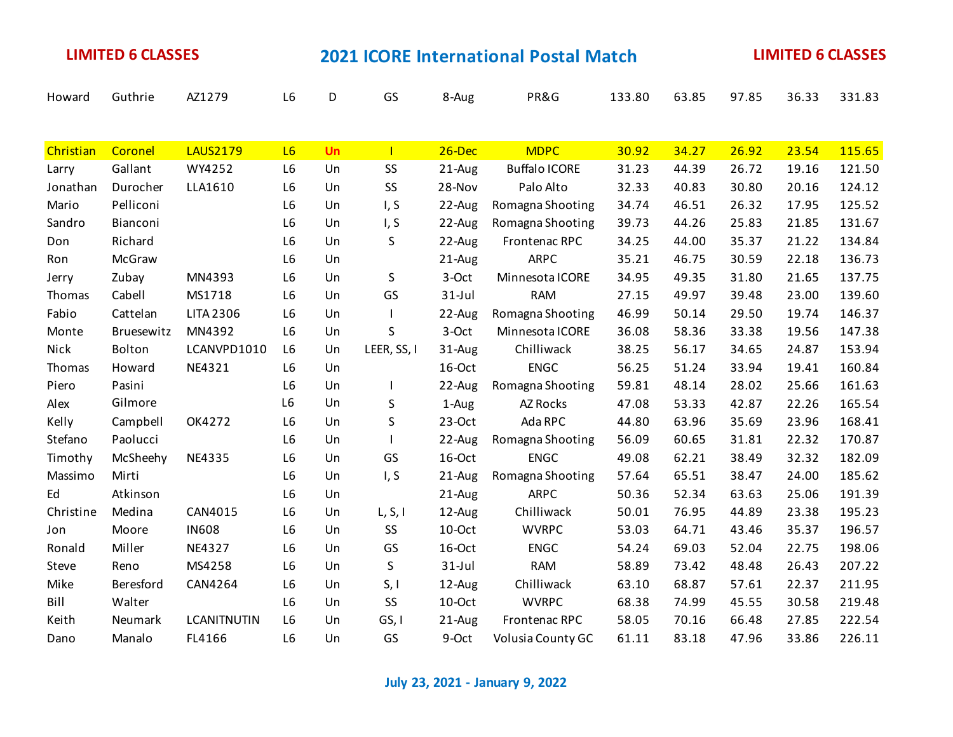| Howard    | Guthrie    | AZ1279             | L6             | D  | GS          | 8-Aug     | PR&G                 | 133.80 | 63.85 | 97.85 | 36.33 | 331.83 |
|-----------|------------|--------------------|----------------|----|-------------|-----------|----------------------|--------|-------|-------|-------|--------|
|           |            |                    |                |    |             |           |                      |        |       |       |       |        |
| Christian | Coronel    | <b>LAUS2179</b>    | L6             | Un | L           | $26$ -Dec | <b>MDPC</b>          | 30.92  | 34.27 | 26.92 | 23.54 | 115.65 |
| Larry     | Gallant    | WY4252             | L <sub>6</sub> | Un | SS          | 21-Aug    | <b>Buffalo ICORE</b> | 31.23  | 44.39 | 26.72 | 19.16 | 121.50 |
| Jonathan  | Durocher   | LLA1610            | L <sub>6</sub> | Un | SS          | 28-Nov    | Palo Alto            | 32.33  | 40.83 | 30.80 | 20.16 | 124.12 |
| Mario     | Pelliconi  |                    | L6             | Un | I, S        | 22-Aug    | Romagna Shooting     | 34.74  | 46.51 | 26.32 | 17.95 | 125.52 |
| Sandro    | Bianconi   |                    | L <sub>6</sub> | Un | I, S        | 22-Aug    | Romagna Shooting     | 39.73  | 44.26 | 25.83 | 21.85 | 131.67 |
| Don       | Richard    |                    | L <sub>6</sub> | Un | S           | 22-Aug    | Frontenac RPC        | 34.25  | 44.00 | 35.37 | 21.22 | 134.84 |
| Ron       | McGraw     |                    | L6             | Un |             | 21-Aug    | <b>ARPC</b>          | 35.21  | 46.75 | 30.59 | 22.18 | 136.73 |
| Jerry     | Zubay      | MN4393             | L6             | Un | S           | 3-Oct     | Minnesota ICORE      | 34.95  | 49.35 | 31.80 | 21.65 | 137.75 |
| Thomas    | Cabell     | MS1718             | L6             | Un | GS          | $31$ -Jul | <b>RAM</b>           | 27.15  | 49.97 | 39.48 | 23.00 | 139.60 |
| Fabio     | Cattelan   | <b>LITA 2306</b>   | L6             | Un |             | 22-Aug    | Romagna Shooting     | 46.99  | 50.14 | 29.50 | 19.74 | 146.37 |
| Monte     | Bruesewitz | MN4392             | L6             | Un | S           | 3-Oct     | Minnesota ICORE      | 36.08  | 58.36 | 33.38 | 19.56 | 147.38 |
| Nick      | Bolton     | LCANVPD1010        | L <sub>6</sub> | Un | LEER, SS, I | 31-Aug    | Chilliwack           | 38.25  | 56.17 | 34.65 | 24.87 | 153.94 |
| Thomas    | Howard     | NE4321             | L <sub>6</sub> | Un |             | 16-Oct    | <b>ENGC</b>          | 56.25  | 51.24 | 33.94 | 19.41 | 160.84 |
| Piero     | Pasini     |                    | L6             | Un |             | 22-Aug    | Romagna Shooting     | 59.81  | 48.14 | 28.02 | 25.66 | 161.63 |
| Alex      | Gilmore    |                    | L6             | Un | S           | 1-Aug     | AZ Rocks             | 47.08  | 53.33 | 42.87 | 22.26 | 165.54 |
| Kelly     | Campbell   | OK4272             | L6             | Un | S           | $23-Oct$  | Ada RPC              | 44.80  | 63.96 | 35.69 | 23.96 | 168.41 |
| Stefano   | Paolucci   |                    | L <sub>6</sub> | Un |             | 22-Aug    | Romagna Shooting     | 56.09  | 60.65 | 31.81 | 22.32 | 170.87 |
| Timothy   | McSheehy   | NE4335             | L6             | Un | GS          | 16-Oct    | <b>ENGC</b>          | 49.08  | 62.21 | 38.49 | 32.32 | 182.09 |
| Massimo   | Mirti      |                    | L <sub>6</sub> | Un | I, S        | 21-Aug    | Romagna Shooting     | 57.64  | 65.51 | 38.47 | 24.00 | 185.62 |
| Ed        | Atkinson   |                    | L <sub>6</sub> | Un |             | 21-Aug    | <b>ARPC</b>          | 50.36  | 52.34 | 63.63 | 25.06 | 191.39 |
| Christine | Medina     | CAN4015            | L <sub>6</sub> | Un | L, S, I     | 12-Aug    | Chilliwack           | 50.01  | 76.95 | 44.89 | 23.38 | 195.23 |
| Jon       | Moore      | <b>IN608</b>       | L6             | Un | SS          | 10-Oct    | <b>WVRPC</b>         | 53.03  | 64.71 | 43.46 | 35.37 | 196.57 |
| Ronald    | Miller     | NE4327             | L6             | Un | GS          | 16-Oct    | <b>ENGC</b>          | 54.24  | 69.03 | 52.04 | 22.75 | 198.06 |
| Steve     | Reno       | MS4258             | L6             | Un | S           | $31$ -Jul | <b>RAM</b>           | 58.89  | 73.42 | 48.48 | 26.43 | 207.22 |
| Mike      | Beresford  | CAN4264            | L <sub>6</sub> | Un | S, I        | 12-Aug    | Chilliwack           | 63.10  | 68.87 | 57.61 | 22.37 | 211.95 |
| Bill      | Walter     |                    | L <sub>6</sub> | Un | SS          | $10$ -Oct | <b>WVRPC</b>         | 68.38  | 74.99 | 45.55 | 30.58 | 219.48 |
| Keith     | Neumark    | <b>LCANITNUTIN</b> | L6             | Un | GS, I       | 21-Aug    | Frontenac RPC        | 58.05  | 70.16 | 66.48 | 27.85 | 222.54 |
| Dano      | Manalo     | FL4166             | L <sub>6</sub> | Un | GS          | 9-Oct     | Volusia County GC    | 61.11  | 83.18 | 47.96 | 33.86 | 226.11 |

**July 23, 2021 - January 9, 2022**